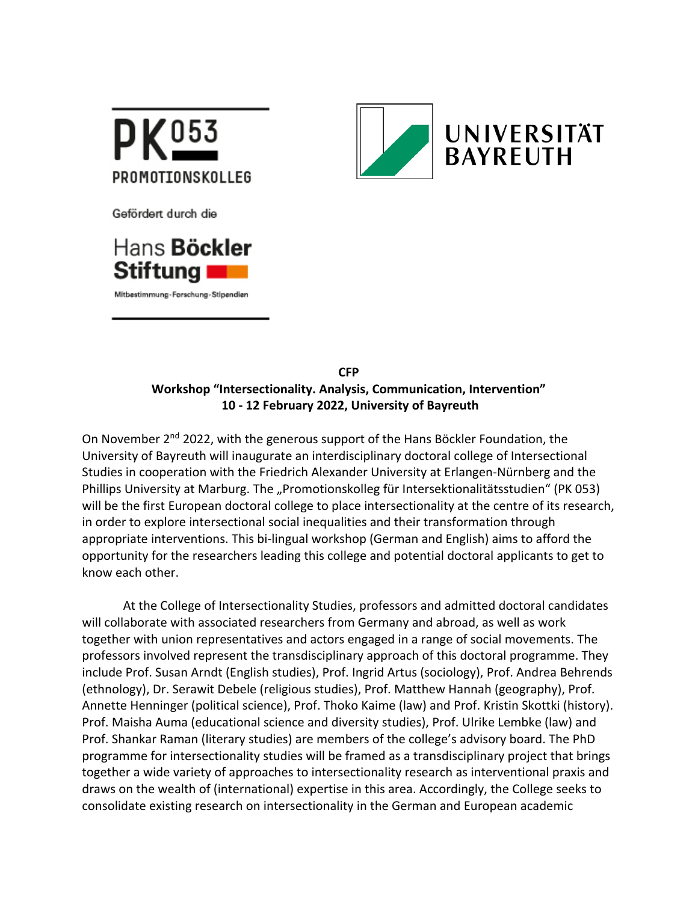



Gefördert durch die



Mitbestimmung-Forschung-Stipendien

**CFP Workshop "Intersectionality. Analysis, Communication, Intervention" 10 - 12 February 2022, University of Bayreuth**

On November 2nd 2022, with the generous support of the Hans Böckler Foundation, the University of Bayreuth will inaugurate an interdisciplinary doctoral college of Intersectional Studies in cooperation with the Friedrich Alexander University at Erlangen-Nürnberg and the Phillips University at Marburg. The "Promotionskolleg für Intersektionalitätsstudien" (PK 053) will be the first European doctoral college to place intersectionality at the centre of its research, in order to explore intersectional social inequalities and their transformation through appropriate interventions. This bi-lingual workshop (German and English) aims to afford the opportunity for the researchers leading this college and potential doctoral applicants to get to know each other.

At the College of Intersectionality Studies, professors and admitted doctoral candidates will collaborate with associated researchers from Germany and abroad, as well as work together with union representatives and actors engaged in a range of social movements. The professors involved represent the transdisciplinary approach of this doctoral programme. They include Prof. Susan Arndt (English studies), Prof. Ingrid Artus (sociology), Prof. Andrea Behrends (ethnology), Dr. Serawit Debele (religious studies), Prof. Matthew Hannah (geography), Prof. Annette Henninger (political science), Prof. Thoko Kaime (law) and Prof. Kristin Skottki (history). Prof. Maisha Auma (educational science and diversity studies), Prof. Ulrike Lembke (law) and Prof. Shankar Raman (literary studies) are members of the college's advisory board. The PhD programme for intersectionality studies will be framed as a transdisciplinary project that brings together a wide variety of approaches to intersectionality research as interventional praxis and draws on the wealth of (international) expertise in this area. Accordingly, the College seeks to consolidate existing research on intersectionality in the German and European academic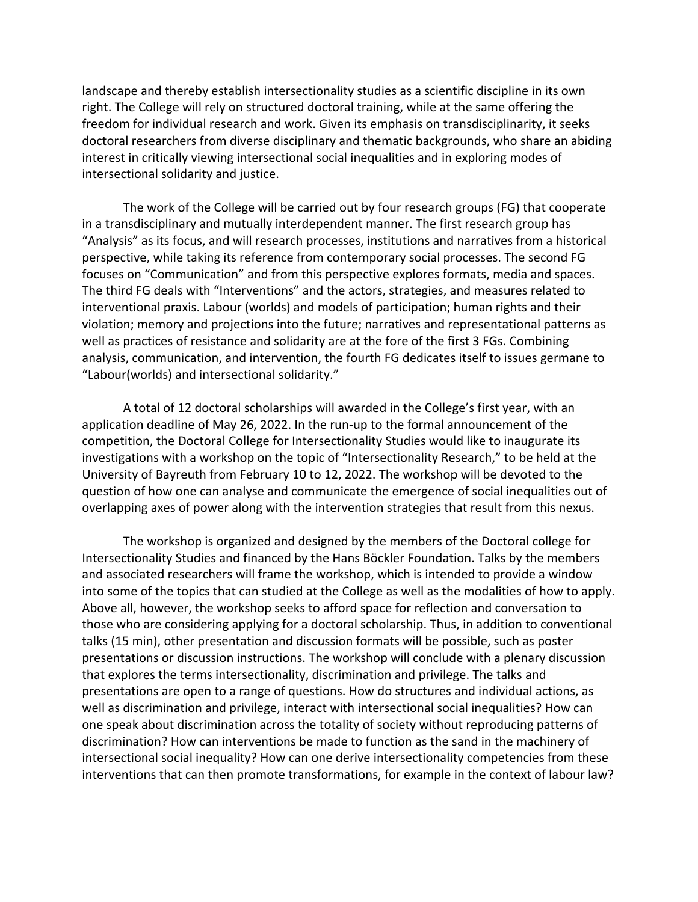landscape and thereby establish intersectionality studies as a scientific discipline in its own right. The College will rely on structured doctoral training, while at the same offering the freedom for individual research and work. Given its emphasis on transdisciplinarity, it seeks doctoral researchers from diverse disciplinary and thematic backgrounds, who share an abiding interest in critically viewing intersectional social inequalities and in exploring modes of intersectional solidarity and justice.

The work of the College will be carried out by four research groups (FG) that cooperate in a transdisciplinary and mutually interdependent manner. The first research group has "Analysis" as its focus, and will research processes, institutions and narratives from a historical perspective, while taking its reference from contemporary social processes. The second FG focuses on "Communication" and from this perspective explores formats, media and spaces. The third FG deals with "Interventions" and the actors, strategies, and measures related to interventional praxis. Labour (worlds) and models of participation; human rights and their violation; memory and projections into the future; narratives and representational patterns as well as practices of resistance and solidarity are at the fore of the first 3 FGs. Combining analysis, communication, and intervention, the fourth FG dedicates itself to issues germane to "Labour(worlds) and intersectional solidarity."

A total of 12 doctoral scholarships will awarded in the College's first year, with an application deadline of May 26, 2022. In the run-up to the formal announcement of the competition, the Doctoral College for Intersectionality Studies would like to inaugurate its investigations with a workshop on the topic of "Intersectionality Research," to be held at the University of Bayreuth from February 10 to 12, 2022. The workshop will be devoted to the question of how one can analyse and communicate the emergence of social inequalities out of overlapping axes of power along with the intervention strategies that result from this nexus.

The workshop is organized and designed by the members of the Doctoral college for Intersectionality Studies and financed by the Hans Böckler Foundation. Talks by the members and associated researchers will frame the workshop, which is intended to provide a window into some of the topics that can studied at the College as well as the modalities of how to apply. Above all, however, the workshop seeks to afford space for reflection and conversation to those who are considering applying for a doctoral scholarship. Thus, in addition to conventional talks (15 min), other presentation and discussion formats will be possible, such as poster presentations or discussion instructions. The workshop will conclude with a plenary discussion that explores the terms intersectionality, discrimination and privilege. The talks and presentations are open to a range of questions. How do structures and individual actions, as well as discrimination and privilege, interact with intersectional social inequalities? How can one speak about discrimination across the totality of society without reproducing patterns of discrimination? How can interventions be made to function as the sand in the machinery of intersectional social inequality? How can one derive intersectionality competencies from these interventions that can then promote transformations, for example in the context of labour law?